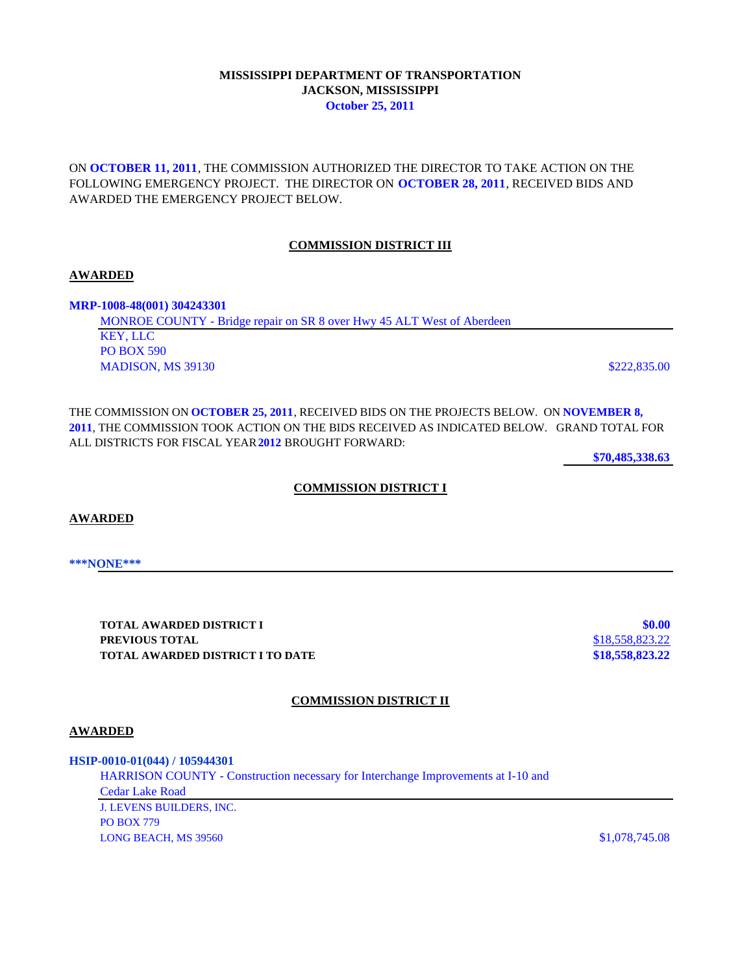## **MISSISSIPPI DEPARTMENT OF TRANSPORTATION JACKSON, MISSISSIPPI October 25, 2011**

ON **OCTOBER 11, 2011**, THE COMMISSION AUTHORIZED THE DIRECTOR TO TAKE ACTION ON THE FOLLOWING EMERGENCY PROJECT. THE DIRECTOR ON **OCTOBER 28, 2011**, RECEIVED BIDS AND AWARDED THE EMERGENCY PROJECT BELOW.

## **COMMISSION DISTRICT III**

#### **AWARDED**

**MRP-1008-48(001) 304243301**

MONROE COUNTY - Bridge repair on SR 8 over Hwy 45 ALT West of Aberdeen KEY, LLC PO BOX 590 MADISON, MS 39130 \$222,835.00

THE COMMISSION ON **OCTOBER 25, 2011**, RECEIVED BIDS ON THE PROJECTS BELOW. ON **NOVEMBER 8, 2011**, THE COMMISSION TOOK ACTION ON THE BIDS RECEIVED AS INDICATED BELOW. GRAND TOTAL FOR ALL DISTRICTS FOR FISCAL YEAR **2012** BROUGHT FORWARD:

**\$70,485,338.63**

## **COMMISSION DISTRICT I**

**AWARDED**

**\*\*\*NONE\*\*\***

**TOTAL AWARDED DISTRICT I \$0.00 PREVIOUS TOTAL** \$18,558,823.22 **TOTAL AWARDED DISTRICT I TO DATE \$18,558,823.22**

## **COMMISSION DISTRICT II**

#### **AWARDED**

**HSIP-0010-01(044) / 105944301** HARRISON COUNTY - Construction necessary for Interchange Improvements at I-10 and Cedar Lake Road J. LEVENS BUILDERS, INC. PO BOX 779 LONG BEACH, MS 39560 \$1,078,745.08